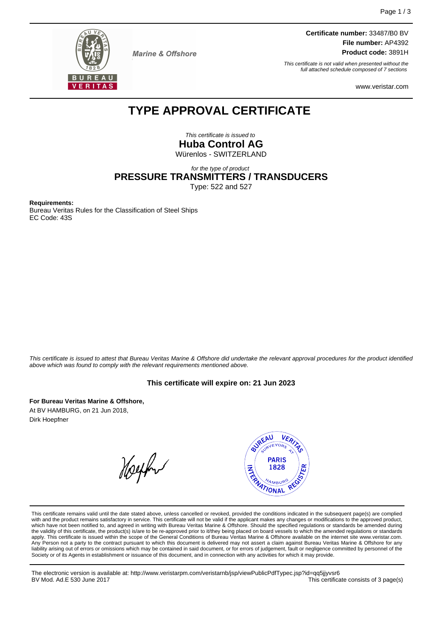

**Marine & Offshore** 

**Certificate number:** 33487/B0 BV **File number:** AP4392 **Product code:** 3891H

This certificate is not valid when presented without the full attached schedule composed of 7 sections

www.veristar.com

## **TYPE APPROVAL CERTIFICATE**

This certificate is issued to **Huba Control AG** Würenlos - SWITZERLAND

for the type of product

**PRESSURE TRANSMITTERS / TRANSDUCERS**

Type: 522 and 527

**Requirements:**

Bureau Veritas Rules for the Classification of Steel Ships EC Code: 43S

This certificate is issued to attest that Bureau Veritas Marine & Offshore did undertake the relevant approval procedures for the product identified above which was found to comply with the relevant requirements mentioned above.

## **This certificate will expire on: 21 Jun 2023**

**For Bureau Veritas Marine & Offshore,** At BV HAMBURG, on 21 Jun 2018, Dirk Hoepfner

Helphur



This certificate remains valid until the date stated above, unless cancelled or revoked, provided the conditions indicated in the subsequent page(s) are complied with and the product remains satisfactory in service. This certificate will not be valid if the applicant makes any changes or modifications to the approved product, which have not been notified to, and agreed in writing with Bureau Veritas Marine & Offshore. Should the specified regulations or standards be amended during<br>the validity of this certificate, the product(s) is/are to be re apply. This certificate is issued within the scope of the General Conditions of Bureau Veritas Marine & Offshore available on the internet site www.veristar.com. Any Person not a party to the contract pursuant to which this document is delivered may not assert a claim against Bureau Veritas Marine & Offshore for any liability arising out of errors or omissions which may be contained in said document, or for errors of judgement, fault or negligence committed by personnel of the<br>Society or of its Agents in establishment or issuance of t

The electronic version is available at: http://www.veristarpm.com/veristarnb/jsp/viewPublicPdfTypec.jsp?id=qq5jjyvsr6 BV Mod. Ad.E 530 June 2017 **This certificate consists of 3 page(s)** This certificate consists of 3 page(s)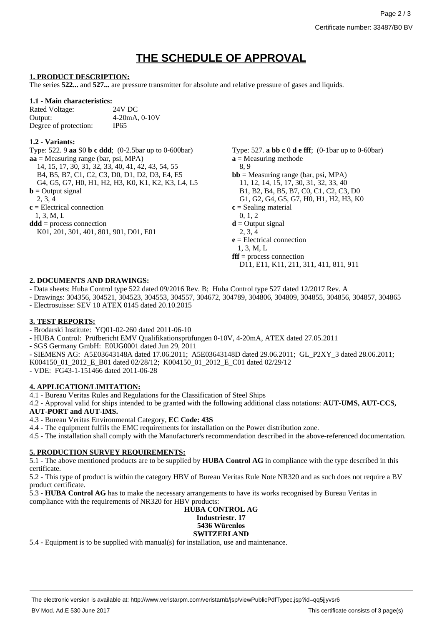# **THE SCHEDULE OF APPROVAL**

#### **1. PRODUCT DESCRIPTION:**

The series **522...** and **527...** are pressure transmitter for absolute and relative pressure of gases and liquids.

#### **1.1 - Main characteristics:**

Rated Voltage: 24V DC Output: 4-20mA, 0-10V Degree of protection: IP65

#### **1.2 - Variants:**

Type: 522. 9 **aa** S0 **b c ddd**; (0-2.5bar up to 0-600bar) Type: 527. **a bb c** 0 **d e fff**; (0-1bar up to 0-60bar) **aa** = Measuring range (bar, psi, MPA) 14, 15, 17, 30, 31, 32, 33, 40, 41, 42, 43, 54, 55 B4, B5, B7, C1, C2, C3, D0, D1, D2, D3, E4, E5 G4, G5, G7, H0, H1, H2, H3, K0, K1, K2, K3, L4, L5  $$ 2, 3, 4 **c** = Electrical connection 1, 3, M, L **ddd** = process connection K01, 201, 301, 401, 801, 901, D01, E01

**a** = Measuring methode 8, 9  $$ 11, 12, 14, 15, 17, 30, 31, 32, 33, 40 B1, B2, B4, B5, B7, C0, C1, C2, C3, D0 G1, G2, G4, G5, G7, H0, H1, H2, H3, K0 **c** = Sealing material 0, 1, 2  $\mathbf{d}$  = Output signal 2, 3, 4 **e** = Electrical connection 1, 3, M, L **fff** = process connection D11, E11, K11, 211, 311, 411, 811, 911

#### **2. DOCUMENTS AND DRAWINGS:**

- Data sheets: Huba Control type 522 dated 09/2016 Rev. B; Huba Control type 527 dated 12/2017 Rev. A

- Drawings: 304356, 304521, 304523, 304553, 304557, 304672, 304789, 304806, 304809, 304855, 304856, 304857, 304865 **-** Electrosuisse: SEV 10 ATEX 0145 dated 20.10.2015

#### **3. TEST REPORTS:**

- Brodarski Institute: YQ01-02-260 dated 2011-06-10
- **-** HUBA Control: Prüfbericht EMV Qualifikationsprüfungen 0-10V, 4-20mA, ATEX dated 27.05.2011
- **-** SGS Germany GmbH: E0UG0001 dated Jun 29, 2011
- **-** SIEMENS AG: A5E03643148A dated 17.06.2011; A5E03643148D dated 29.06.2011; GL\_P2XY\_3 dated 28.06.2011;
- K004150\_01\_2012\_E\_B01 dated 02/28/12; K004150\_01\_2012\_E\_C01 dated 02/29/12
- **-** VDE: FG43-1-151466 dated 2011-06-28

## **4. APPLICATION/LIMITATION:**

- 4.1 Bureau Veritas Rules and Regulations for the Classification of Steel Ships
- 4.2 Approval valid for ships intended to be granted with the following additional class notations: **AUT-UMS, AUT-CCS, AUT-PORT and AUT-IMS.**
- 4.3 **-** Bureau Veritas Environmental Category, **EC Code: 43S**
- 4.4 The equipment fulfils the EMC requirements for installation on the Power distribution zone.
- 4.5 The installation shall comply with the Manufacturer's recommendation described in the above-referenced documentation.

## **5. PRODUCTION SURVEY REQUIREMENTS:**

5.1 - The above mentioned products are to be supplied by **HUBA Control AG** in compliance with the type described in this certificate.

5.2 - This type of product is within the category HBV of Bureau Veritas Rule Note NR320 and as such does not require a BV product certificate.

5.3 - **HUBA Control AG** has to make the necessary arrangements to have its works recognised by Bureau Veritas in compliance with the requirements of NR320 for HBV products:

#### **HUBA CONTROL AG Industriestr. 17 5436 Würenlos SWITZERLAND**

5.4 - Equipment is to be supplied with manual(s) for installation, use and maintenance.